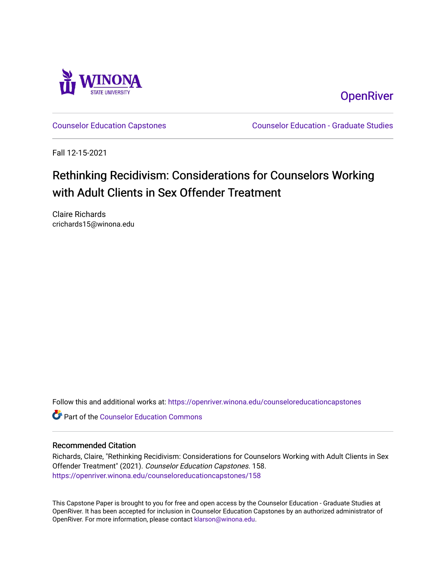

**OpenRiver** 

[Counselor Education Capstones](https://openriver.winona.edu/counseloreducationcapstones) [Counselor Education - Graduate Studies](https://openriver.winona.edu/counseloreducation) 

Fall 12-15-2021

# Rethinking Recidivism: Considerations for Counselors Working with Adult Clients in Sex Offender Treatment

Claire Richards crichards15@winona.edu

Follow this and additional works at: [https://openriver.winona.edu/counseloreducationcapstones](https://openriver.winona.edu/counseloreducationcapstones?utm_source=openriver.winona.edu%2Fcounseloreducationcapstones%2F158&utm_medium=PDF&utm_campaign=PDFCoverPages)

**C** Part of the Counselor Education Commons

#### Recommended Citation

Richards, Claire, "Rethinking Recidivism: Considerations for Counselors Working with Adult Clients in Sex Offender Treatment" (2021). Counselor Education Capstones. 158. [https://openriver.winona.edu/counseloreducationcapstones/158](https://openriver.winona.edu/counseloreducationcapstones/158?utm_source=openriver.winona.edu%2Fcounseloreducationcapstones%2F158&utm_medium=PDF&utm_campaign=PDFCoverPages)

This Capstone Paper is brought to you for free and open access by the Counselor Education - Graduate Studies at OpenRiver. It has been accepted for inclusion in Counselor Education Capstones by an authorized administrator of OpenRiver. For more information, please contact [klarson@winona.edu](mailto:klarson@winona.edu).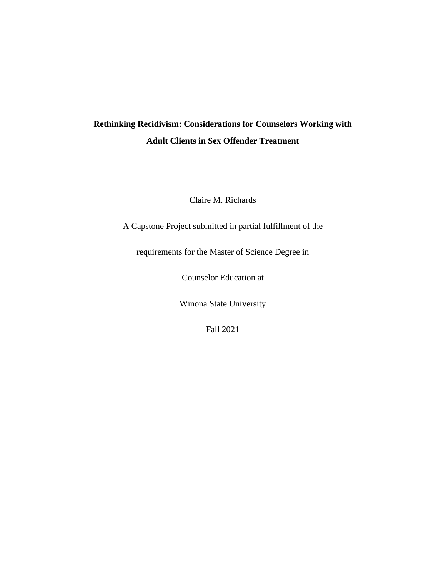## **Rethinking Recidivism: Considerations for Counselors Working with Adult Clients in Sex Offender Treatment**

Claire M. Richards

A Capstone Project submitted in partial fulfillment of the

requirements for the Master of Science Degree in

Counselor Education at

Winona State University

Fall 2021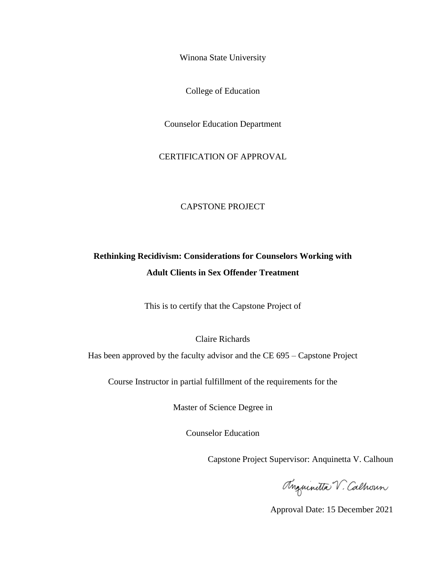Winona State University

College of Education

Counselor Education Department

CERTIFICATION OF APPROVAL

#### CAPSTONE PROJECT

### **Rethinking Recidivism: Considerations for Counselors Working with Adult Clients in Sex Offender Treatment**

This is to certify that the Capstone Project of

Claire Richards

Has been approved by the faculty advisor and the CE 695 – Capstone Project

Course Instructor in partial fulfillment of the requirements for the

Master of Science Degree in

Counselor Education

Capstone Project Supervisor: Anquinetta V. Calhoun

Anguinitta V. Calhoun

Approval Date: 15 December 2021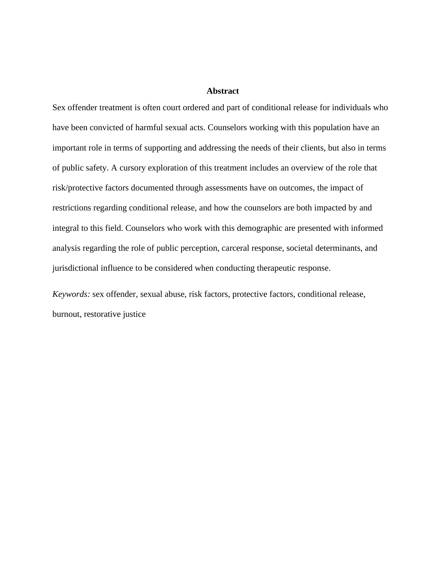#### **Abstract**

Sex offender treatment is often court ordered and part of conditional release for individuals who have been convicted of harmful sexual acts. Counselors working with this population have an important role in terms of supporting and addressing the needs of their clients, but also in terms of public safety. A cursory exploration of this treatment includes an overview of the role that risk/protective factors documented through assessments have on outcomes, the impact of restrictions regarding conditional release, and how the counselors are both impacted by and integral to this field. Counselors who work with this demographic are presented with informed analysis regarding the role of public perception, carceral response, societal determinants, and jurisdictional influence to be considered when conducting therapeutic response.

*Keywords:* sex offender, sexual abuse, risk factors, protective factors, conditional release, burnout, restorative justice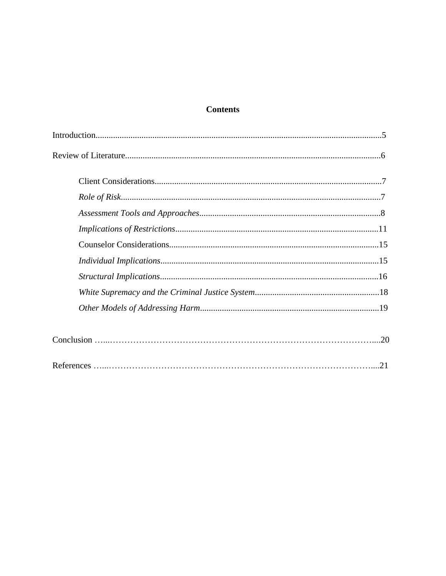### **Contents**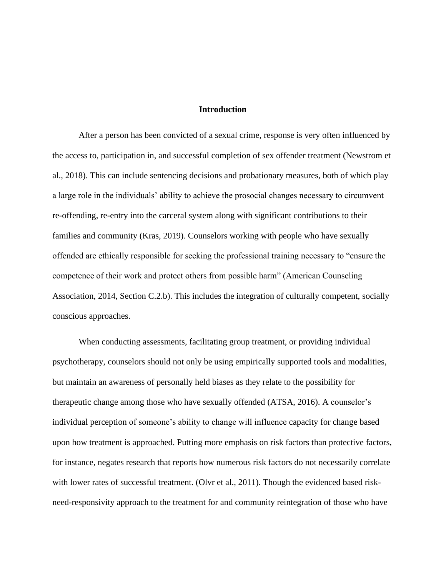#### **Introduction**

After a person has been convicted of a sexual crime, response is very often influenced by the access to, participation in, and successful completion of sex offender treatment (Newstrom et al., 2018). This can include sentencing decisions and probationary measures, both of which play a large role in the individuals' ability to achieve the prosocial changes necessary to circumvent re-offending, re-entry into the carceral system along with significant contributions to their families and community (Kras, 2019). Counselors working with people who have sexually offended are ethically responsible for seeking the professional training necessary to "ensure the competence of their work and protect others from possible harm" (American Counseling Association, 2014, Section C.2.b). This includes the integration of culturally competent, socially conscious approaches.

When conducting assessments, facilitating group treatment, or providing individual psychotherapy, counselors should not only be using empirically supported tools and modalities, but maintain an awareness of personally held biases as they relate to the possibility for therapeutic change among those who have sexually offended (ATSA, 2016). A counselor's individual perception of someone's ability to change will influence capacity for change based upon how treatment is approached. Putting more emphasis on risk factors than protective factors, for instance, negates research that reports how numerous risk factors do not necessarily correlate with lower rates of successful treatment. (Olvr et al., 2011). Though the evidenced based riskneed-responsivity approach to the treatment for and community reintegration of those who have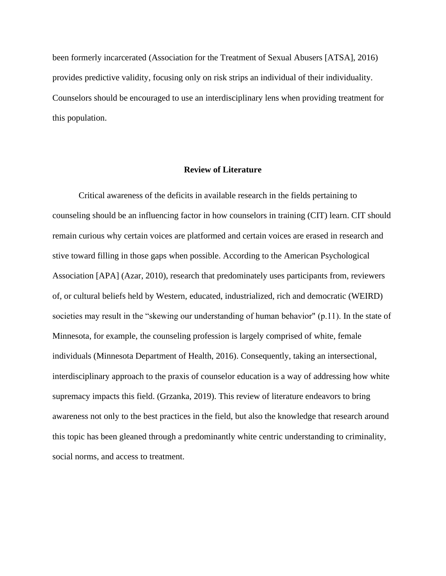been formerly incarcerated (Association for the Treatment of Sexual Abusers [ATSA], 2016) provides predictive validity, focusing only on risk strips an individual of their individuality. Counselors should be encouraged to use an interdisciplinary lens when providing treatment for this population.

#### **Review of Literature**

Critical awareness of the deficits in available research in the fields pertaining to counseling should be an influencing factor in how counselors in training (CIT) learn. CIT should remain curious why certain voices are platformed and certain voices are erased in research and stive toward filling in those gaps when possible. According to the American Psychological Association [APA] (Azar, 2010), research that predominately uses participants from, reviewers of, or cultural beliefs held by Western, educated, industrialized, rich and democratic (WEIRD) societies may result in the "skewing our understanding of human behavior" (p.11). In the state of Minnesota, for example, the counseling profession is largely comprised of white, female individuals (Minnesota Department of Health, 2016). Consequently, taking an intersectional, interdisciplinary approach to the praxis of counselor education is a way of addressing how white supremacy impacts this field. (Grzanka, 2019). This review of literature endeavors to bring awareness not only to the best practices in the field, but also the knowledge that research around this topic has been gleaned through a predominantly white centric understanding to criminality, social norms, and access to treatment.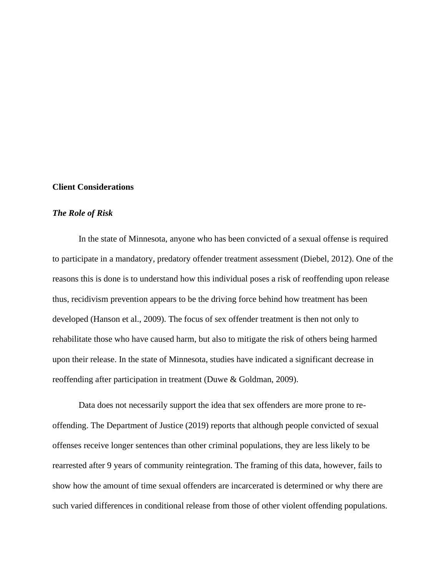#### **Client Considerations**

#### *The Role of Risk*

In the state of Minnesota, anyone who has been convicted of a sexual offense is required to participate in a mandatory, predatory offender treatment assessment (Diebel, 2012). One of the reasons this is done is to understand how this individual poses a risk of reoffending upon release thus, recidivism prevention appears to be the driving force behind how treatment has been developed (Hanson et al., 2009). The focus of sex offender treatment is then not only to rehabilitate those who have caused harm, but also to mitigate the risk of others being harmed upon their release. In the state of Minnesota, studies have indicated a significant decrease in reoffending after participation in treatment (Duwe & Goldman, 2009).

Data does not necessarily support the idea that sex offenders are more prone to reoffending. The Department of Justice (2019) reports that although people convicted of sexual offenses receive longer sentences than other criminal populations, they are less likely to be rearrested after 9 years of community reintegration. The framing of this data, however, fails to show how the amount of time sexual offenders are incarcerated is determined or why there are such varied differences in conditional release from those of other violent offending populations.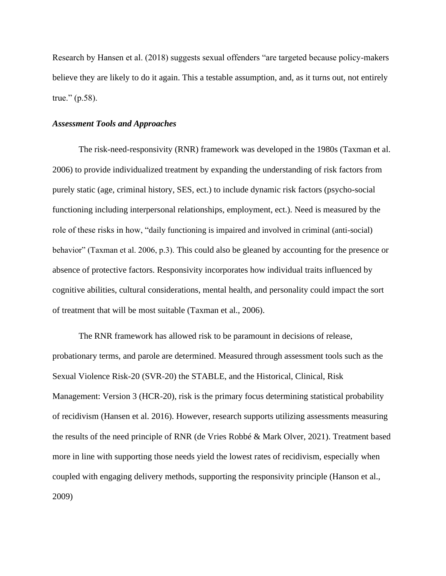Research by Hansen et al. (2018) suggests sexual offenders "are targeted because policy-makers believe they are likely to do it again. This a testable assumption, and, as it turns out, not entirely true." (p.58).

#### *Assessment Tools and Approaches*

The risk-need-responsivity (RNR) framework was developed in the 1980s (Taxman et al. 2006) to provide individualized treatment by expanding the understanding of risk factors from purely static (age, criminal history, SES, ect.) to include dynamic risk factors (psycho-social functioning including interpersonal relationships, employment, ect.). Need is measured by the role of these risks in how, "daily functioning is impaired and involved in criminal (anti-social) behavior" (Taxman et al. 2006, p.3). This could also be gleaned by accounting for the presence or absence of protective factors. Responsivity incorporates how individual traits influenced by cognitive abilities, cultural considerations, mental health, and personality could impact the sort of treatment that will be most suitable (Taxman et al., 2006).

The RNR framework has allowed risk to be paramount in decisions of release, probationary terms, and parole are determined. Measured through assessment tools such as the Sexual Violence Risk-20 (SVR-20) the STABLE, and the Historical, Clinical, Risk Management: Version 3 (HCR-20), risk is the primary focus determining statistical probability of recidivism (Hansen et al. 2016). However, research supports utilizing assessments measuring the results of the need principle of RNR (de Vries Robbé & Mark Olver, 2021). Treatment based more in line with supporting those needs yield the lowest rates of recidivism, especially when coupled with engaging delivery methods, supporting the responsivity principle (Hanson et al., 2009)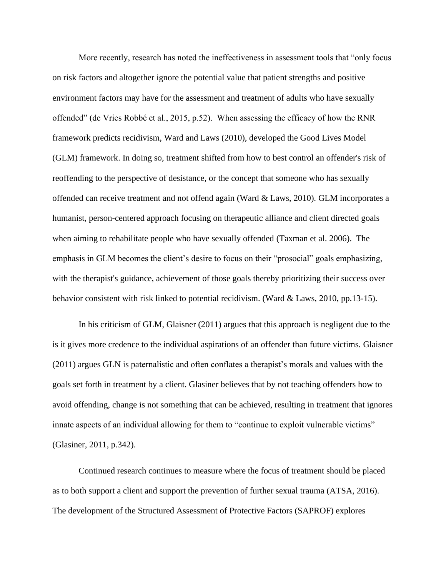More recently, research has noted the ineffectiveness in assessment tools that "only focus on risk factors and altogether ignore the potential value that patient strengths and positive environment factors may have for the assessment and treatment of adults who have sexually offended" (de Vries Robbé et al., 2015, p.52). When assessing the efficacy of how the RNR framework predicts recidivism, Ward and Laws (2010), developed the Good Lives Model (GLM) framework. In doing so, treatment shifted from how to best control an offender's risk of reoffending to the perspective of desistance, or the concept that someone who has sexually offended can receive treatment and not offend again (Ward & Laws, 2010). GLM incorporates a humanist, person-centered approach focusing on therapeutic alliance and client directed goals when aiming to rehabilitate people who have sexually offended (Taxman et al. 2006). The emphasis in GLM becomes the client's desire to focus on their "prosocial" goals emphasizing, with the therapist's guidance, achievement of those goals thereby prioritizing their success over behavior consistent with risk linked to potential recidivism. (Ward & Laws, 2010, pp.13-15).

In his criticism of GLM, Glaisner (2011) argues that this approach is negligent due to the is it gives more credence to the individual aspirations of an offender than future victims. Glaisner (2011) argues GLN is paternalistic and often conflates a therapist's morals and values with the goals set forth in treatment by a client. Glasiner believes that by not teaching offenders how to avoid offending, change is not something that can be achieved, resulting in treatment that ignores innate aspects of an individual allowing for them to "continue to exploit vulnerable victims" (Glasiner, 2011, p.342).

Continued research continues to measure where the focus of treatment should be placed as to both support a client and support the prevention of further sexual trauma (ATSA, 2016). The development of the Structured Assessment of Protective Factors (SAPROF) explores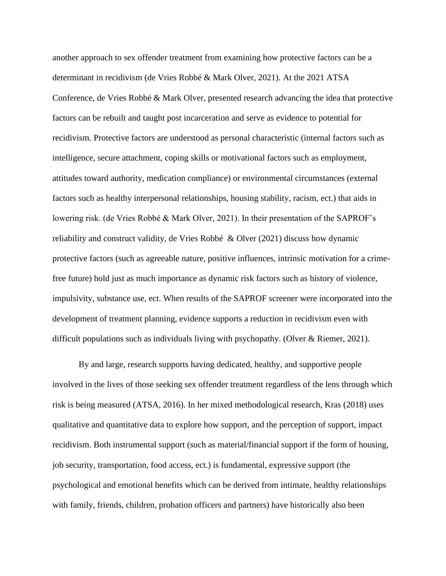another approach to sex offender treatment from examining how protective factors can be a determinant in recidivism (de Vries Robbé & Mark Olver, 2021). At the 2021 ATSA Conference, de Vries Robbé & Mark Olver, presented research advancing the idea that protective factors can be rebuilt and taught post incarceration and serve as evidence to potential for recidivism. Protective factors are understood as personal characteristic (internal factors such as intelligence, secure attachment, coping skills or motivational factors such as employment, attitudes toward authority, medication compliance) or environmental circumstances (external factors such as healthy interpersonal relationships, housing stability, racism, ect.) that aids in lowering risk. (de Vries Robbé & Mark Olver, 2021). In their presentation of the SAPROF's reliability and construct validity, de Vries Robbé & Olver (2021) discuss how dynamic protective factors (such as agreeable nature, positive influences, intrinsic motivation for a crimefree future) hold just as much importance as dynamic risk factors such as history of violence, impulsivity, substance use, ect. When results of the SAPROF screener were incorporated into the development of treatment planning, evidence supports a reduction in recidivism even with difficult populations such as individuals living with psychopathy. (Olver & Riemer, 2021).

By and large, research supports having dedicated, healthy, and supportive people involved in the lives of those seeking sex offender treatment regardless of the lens through which risk is being measured (ATSA, 2016). In her mixed methodological research, Kras (2018) uses qualitative and quantitative data to explore how support, and the perception of support, impact recidivism. Both instrumental support (such as material/financial support if the form of housing, job security, transportation, food access, ect.) is fundamental, expressive support (the psychological and emotional benefits which can be derived from intimate, healthy relationships with family, friends, children, probation officers and partners) have historically also been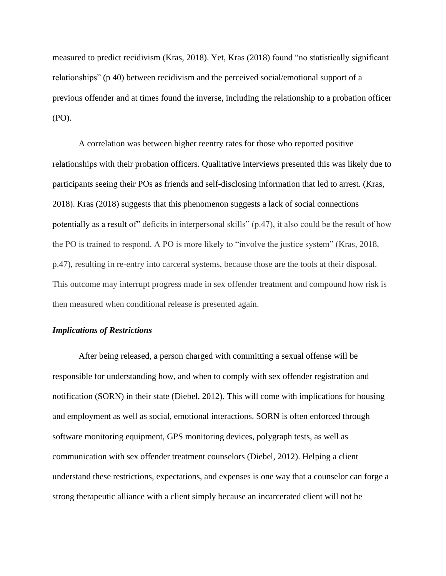measured to predict recidivism (Kras, 2018). Yet, Kras (2018) found "no statistically significant relationships" (p 40) between recidivism and the perceived social/emotional support of a previous offender and at times found the inverse, including the relationship to a probation officer (PO).

A correlation was between higher reentry rates for those who reported positive relationships with their probation officers. Qualitative interviews presented this was likely due to participants seeing their POs as friends and self-disclosing information that led to arrest. (Kras, 2018). Kras (2018) suggests that this phenomenon suggests a lack of social connections potentially as a result of" deficits in interpersonal skills" (p.47), it also could be the result of how the PO is trained to respond. A PO is more likely to "involve the justice system" (Kras, 2018, p.47), resulting in re-entry into carceral systems, because those are the tools at their disposal. This outcome may interrupt progress made in sex offender treatment and compound how risk is then measured when conditional release is presented again.

#### *Implications of Restrictions*

After being released, a person charged with committing a sexual offense will be responsible for understanding how, and when to comply with sex offender registration and notification (SORN) in their state (Diebel, 2012). This will come with implications for housing and employment as well as social, emotional interactions. SORN is often enforced through software monitoring equipment, GPS monitoring devices, polygraph tests, as well as communication with sex offender treatment counselors (Diebel, 2012). Helping a client understand these restrictions, expectations, and expenses is one way that a counselor can forge a strong therapeutic alliance with a client simply because an incarcerated client will not be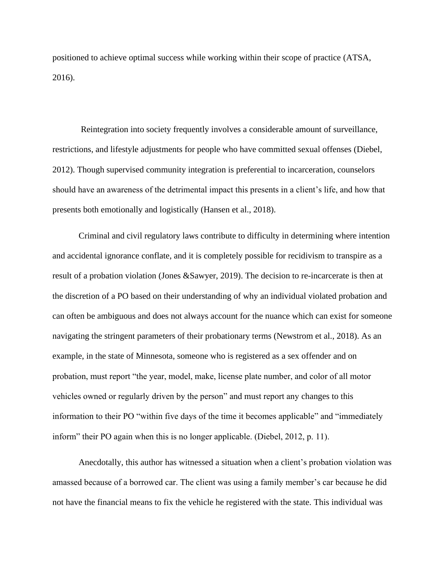positioned to achieve optimal success while working within their scope of practice (ATSA, 2016).

Reintegration into society frequently involves a considerable amount of surveillance, restrictions, and lifestyle adjustments for people who have committed sexual offenses (Diebel, 2012). Though supervised community integration is preferential to incarceration, counselors should have an awareness of the detrimental impact this presents in a client's life, and how that presents both emotionally and logistically (Hansen et al., 2018).

Criminal and civil regulatory laws contribute to difficulty in determining where intention and accidental ignorance conflate, and it is completely possible for recidivism to transpire as a result of a probation violation (Jones &Sawyer, 2019). The decision to re-incarcerate is then at the discretion of a PO based on their understanding of why an individual violated probation and can often be ambiguous and does not always account for the nuance which can exist for someone navigating the stringent parameters of their probationary terms (Newstrom et al., 2018). As an example, in the state of Minnesota, someone who is registered as a sex offender and on probation, must report "the year, model, make, license plate number, and color of all motor vehicles owned or regularly driven by the person" and must report any changes to this information to their PO "within five days of the time it becomes applicable" and "immediately inform" their PO again when this is no longer applicable. (Diebel, 2012, p. 11).

Anecdotally, this author has witnessed a situation when a client's probation violation was amassed because of a borrowed car. The client was using a family member's car because he did not have the financial means to fix the vehicle he registered with the state. This individual was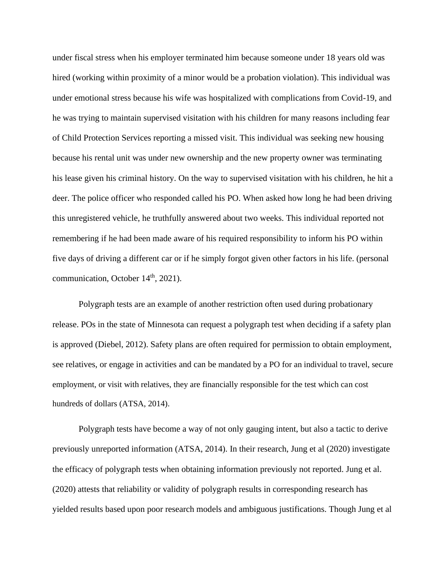under fiscal stress when his employer terminated him because someone under 18 years old was hired (working within proximity of a minor would be a probation violation). This individual was under emotional stress because his wife was hospitalized with complications from Covid-19, and he was trying to maintain supervised visitation with his children for many reasons including fear of Child Protection Services reporting a missed visit. This individual was seeking new housing because his rental unit was under new ownership and the new property owner was terminating his lease given his criminal history. On the way to supervised visitation with his children, he hit a deer. The police officer who responded called his PO. When asked how long he had been driving this unregistered vehicle, he truthfully answered about two weeks. This individual reported not remembering if he had been made aware of his required responsibility to inform his PO within five days of driving a different car or if he simply forgot given other factors in his life. (personal communication, October  $14<sup>th</sup>$ , 2021).

Polygraph tests are an example of another restriction often used during probationary release. POs in the state of Minnesota can request a polygraph test when deciding if a safety plan is approved (Diebel, 2012). Safety plans are often required for permission to obtain employment, see relatives, or engage in activities and can be mandated by a PO for an individual to travel, secure employment, or visit with relatives, they are financially responsible for the test which can cost hundreds of dollars (ATSA, 2014).

Polygraph tests have become a way of not only gauging intent, but also a tactic to derive previously unreported information (ATSA, 2014). In their research, Jung et al (2020) investigate the efficacy of polygraph tests when obtaining information previously not reported. Jung et al. (2020) attests that reliability or validity of polygraph results in corresponding research has yielded results based upon poor research models and ambiguous justifications. Though Jung et al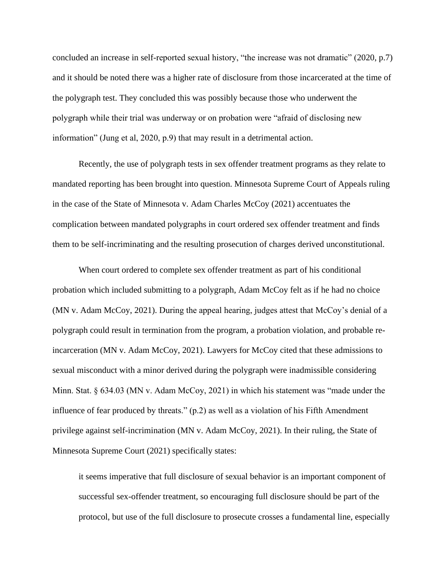concluded an increase in self-reported sexual history, "the increase was not dramatic" (2020, p.7) and it should be noted there was a higher rate of disclosure from those incarcerated at the time of the polygraph test. They concluded this was possibly because those who underwent the polygraph while their trial was underway or on probation were "afraid of disclosing new information" (Jung et al, 2020, p.9) that may result in a detrimental action.

Recently, the use of polygraph tests in sex offender treatment programs as they relate to mandated reporting has been brought into question. Minnesota Supreme Court of Appeals ruling in the case of the State of Minnesota v. Adam Charles McCoy (2021) accentuates the complication between mandated polygraphs in court ordered sex offender treatment and finds them to be self-incriminating and the resulting prosecution of charges derived unconstitutional.

When court ordered to complete sex offender treatment as part of his conditional probation which included submitting to a polygraph, Adam McCoy felt as if he had no choice (MN v. Adam McCoy, 2021). During the appeal hearing, judges attest that McCoy's denial of a polygraph could result in termination from the program, a probation violation, and probable reincarceration (MN v. Adam McCoy, 2021). Lawyers for McCoy cited that these admissions to sexual misconduct with a minor derived during the polygraph were inadmissible considering Minn. Stat. § 634.03 (MN v. Adam McCoy, 2021) in which his statement was "made under the influence of fear produced by threats." (p.2) as well as a violation of his Fifth Amendment privilege against self-incrimination (MN v. Adam McCoy, 2021). In their ruling, the State of Minnesota Supreme Court (2021) specifically states:

it seems imperative that full disclosure of sexual behavior is an important component of successful sex-offender treatment, so encouraging full disclosure should be part of the protocol, but use of the full disclosure to prosecute crosses a fundamental line, especially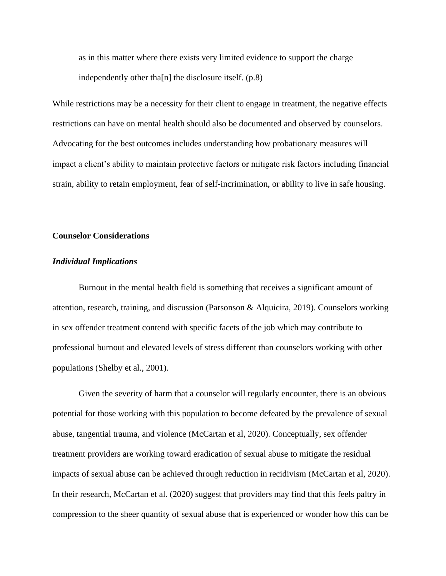as in this matter where there exists very limited evidence to support the charge independently other tha[n] the disclosure itself. (p.8)

While restrictions may be a necessity for their client to engage in treatment, the negative effects restrictions can have on mental health should also be documented and observed by counselors. Advocating for the best outcomes includes understanding how probationary measures will impact a client's ability to maintain protective factors or mitigate risk factors including financial strain, ability to retain employment, fear of self-incrimination, or ability to live in safe housing.

#### **Counselor Considerations**

#### *Individual Implications*

Burnout in the mental health field is something that receives a significant amount of attention, research, training, and discussion (Parsonson & Alquicira, 2019). Counselors working in sex offender treatment contend with specific facets of the job which may contribute to professional burnout and elevated levels of stress different than counselors working with other populations (Shelby et al., 2001).

Given the severity of harm that a counselor will regularly encounter, there is an obvious potential for those working with this population to become defeated by the prevalence of sexual abuse, tangential trauma, and violence (McCartan et al, 2020). Conceptually, sex offender treatment providers are working toward eradication of sexual abuse to mitigate the residual impacts of sexual abuse can be achieved through reduction in recidivism (McCartan et al, 2020). In their research, McCartan et al. (2020) suggest that providers may find that this feels paltry in compression to the sheer quantity of sexual abuse that is experienced or wonder how this can be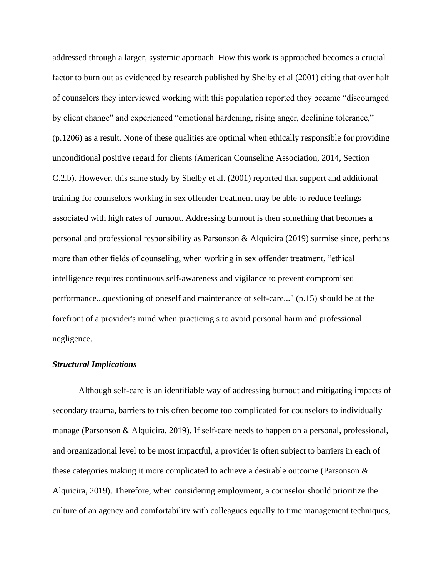addressed through a larger, systemic approach. How this work is approached becomes a crucial factor to burn out as evidenced by research published by Shelby et al (2001) citing that over half of counselors they interviewed working with this population reported they became "discouraged by client change" and experienced "emotional hardening, rising anger, declining tolerance," (p.1206) as a result. None of these qualities are optimal when ethically responsible for providing unconditional positive regard for clients (American Counseling Association, 2014, Section C.2.b). However, this same study by Shelby et al. (2001) reported that support and additional training for counselors working in sex offender treatment may be able to reduce feelings associated with high rates of burnout. Addressing burnout is then something that becomes a personal and professional responsibility as Parsonson & Alquicira (2019) surmise since, perhaps more than other fields of counseling, when working in sex offender treatment, "ethical intelligence requires continuous self-awareness and vigilance to prevent compromised performance...questioning of oneself and maintenance of self-care..." (p.15) should be at the forefront of a provider's mind when practicing s to avoid personal harm and professional negligence.

#### *Structural Implications*

Although self-care is an identifiable way of addressing burnout and mitigating impacts of secondary trauma, barriers to this often become too complicated for counselors to individually manage (Parsonson & Alquicira, 2019). If self-care needs to happen on a personal, professional, and organizational level to be most impactful, a provider is often subject to barriers in each of these categories making it more complicated to achieve a desirable outcome (Parsonson & Alquicira, 2019). Therefore, when considering employment, a counselor should prioritize the culture of an agency and comfortability with colleagues equally to time management techniques,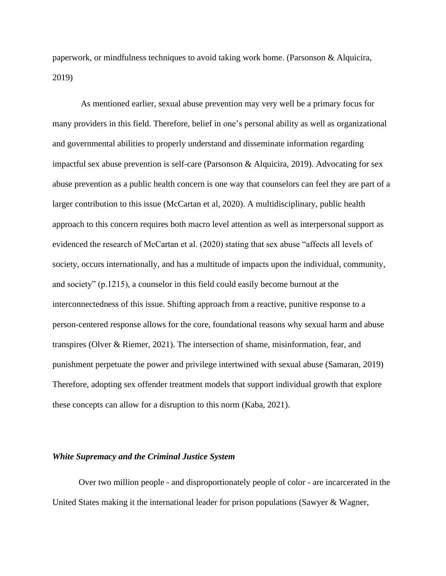paperwork, or mindfulness techniques to avoid taking work home. (Parsonson & Alquicira, 2019)

As mentioned earlier, sexual abuse prevention may very well be a primary focus for many providers in this field. Therefore, belief in one's personal ability as well as organizational and governmental abilities to properly understand and disseminate information regarding impactful sex abuse prevention is self-care (Parsonson & Alquicira, 2019). Advocating for sex abuse prevention as a public health concern is one way that counselors can feel they are part of a larger contribution to this issue (McCartan et al, 2020). A multidisciplinary, public health approach to this concern requires both macro level attention as well as interpersonal support as evidenced the research of McCartan et al. (2020) stating that sex abuse "affects all levels of society, occurs internationally, and has a multitude of impacts upon the individual, community, and society" (p.1215), a counselor in this field could easily become burnout at the interconnectedness of this issue. Shifting approach from a reactive, punitive response to a person-centered response allows for the core, foundational reasons why sexual harm and abuse transpires (Olver & Riemer, 2021). The intersection of shame, misinformation, fear, and punishment perpetuate the power and privilege intertwined with sexual abuse (Samaran, 2019) Therefore, adopting sex offender treatment models that support individual growth that explore these concepts can allow for a disruption to this norm (Kaba, 2021).

#### *White Supremacy and the Criminal Justice System*

Over two million people - and disproportionately people of color - are incarcerated in the United States making it the international leader for prison populations (Sawyer & Wagner,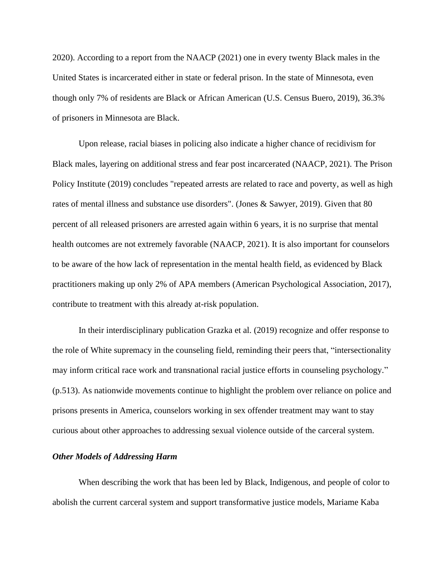2020). According to a report from the NAACP (2021) one in every twenty Black males in the United States is incarcerated either in state or federal prison. In the state of Minnesota, even though only 7% of residents are Black or African American (U.S. Census Buero, 2019), 36.3% of prisoners in Minnesota are Black.

Upon release, racial biases in policing also indicate a higher chance of recidivism for Black males, layering on additional stress and fear post incarcerated (NAACP, 2021). The Prison Policy Institute (2019) concludes "repeated arrests are related to race and poverty, as well as high rates of mental illness and substance use disorders". (Jones & Sawyer, 2019). Given that 80 percent of all released prisoners are arrested again within 6 years, it is no surprise that mental health outcomes are not extremely favorable (NAACP, 2021). It is also important for counselors to be aware of the how lack of representation in the mental health field, as evidenced by Black practitioners making up only 2% of APA members (American Psychological Association, 2017), contribute to treatment with this already at-risk population.

In their interdisciplinary publication Grazka et al. (2019) recognize and offer response to the role of White supremacy in the counseling field, reminding their peers that, "intersectionality may inform critical race work and transnational racial justice efforts in counseling psychology." (p.513). As nationwide movements continue to highlight the problem over reliance on police and prisons presents in America, counselors working in sex offender treatment may want to stay curious about other approaches to addressing sexual violence outside of the carceral system.

#### *Other Models of Addressing Harm*

When describing the work that has been led by Black, Indigenous, and people of color to abolish the current carceral system and support transformative justice models, Mariame Kaba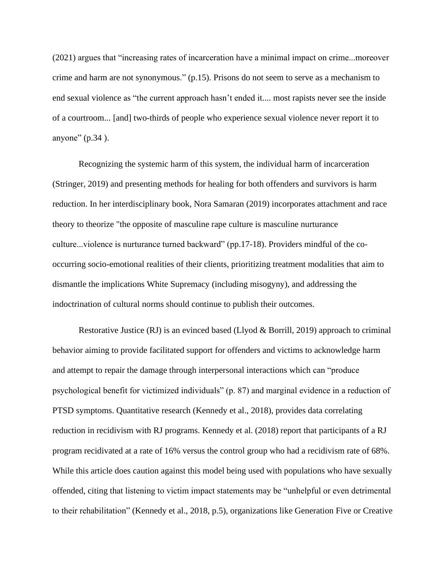(2021) argues that "increasing rates of incarceration have a minimal impact on crime...moreover crime and harm are not synonymous." (p.15). Prisons do not seem to serve as a mechanism to end sexual violence as "the current approach hasn't ended it.... most rapists never see the inside of a courtroom... [and] two-thirds of people who experience sexual violence never report it to anyone" (p.34).

Recognizing the systemic harm of this system, the individual harm of incarceration (Stringer, 2019) and presenting methods for healing for both offenders and survivors is harm reduction. In her interdisciplinary book, Nora Samaran (2019) incorporates attachment and race theory to theorize "the opposite of masculine rape culture is masculine nurturance culture...violence is nurturance turned backward" (pp.17-18). Providers mindful of the cooccurring socio-emotional realities of their clients, prioritizing treatment modalities that aim to dismantle the implications White Supremacy (including misogyny), and addressing the indoctrination of cultural norms should continue to publish their outcomes.

Restorative Justice (RJ) is an evinced based (Llyod & Borrill, 2019) approach to criminal behavior aiming to provide facilitated support for offenders and victims to acknowledge harm and attempt to repair the damage through interpersonal interactions which can "produce psychological benefit for victimized individuals" (p. 87) and marginal evidence in a reduction of PTSD symptoms. Quantitative research (Kennedy et al., 2018), provides data correlating reduction in recidivism with RJ programs. Kennedy et al. (2018) report that participants of a RJ program recidivated at a rate of 16% versus the control group who had a recidivism rate of 68%. While this article does caution against this model being used with populations who have sexually offended, citing that listening to victim impact statements may be "unhelpful or even detrimental to their rehabilitation" (Kennedy et al., 2018, p.5), organizations like Generation Five or Creative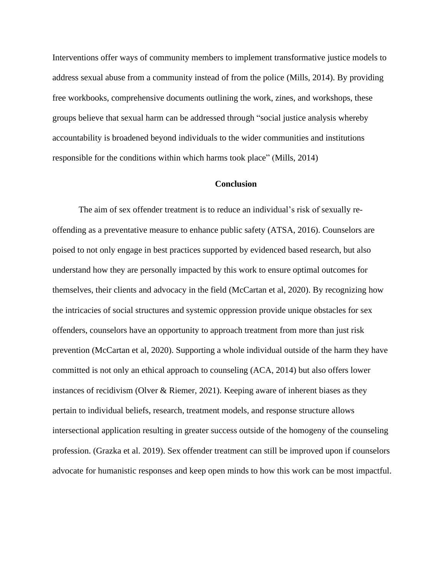Interventions offer ways of community members to implement transformative justice models to address sexual abuse from a community instead of from the police (Mills, 2014). By providing free workbooks, comprehensive documents outlining the work, zines, and workshops, these groups believe that sexual harm can be addressed through "social justice analysis whereby accountability is broadened beyond individuals to the wider communities and institutions responsible for the conditions within which harms took place" (Mills, 2014)

#### **Conclusion**

The aim of sex offender treatment is to reduce an individual's risk of sexually reoffending as a preventative measure to enhance public safety (ATSA, 2016). Counselors are poised to not only engage in best practices supported by evidenced based research, but also understand how they are personally impacted by this work to ensure optimal outcomes for themselves, their clients and advocacy in the field (McCartan et al, 2020). By recognizing how the intricacies of social structures and systemic oppression provide unique obstacles for sex offenders, counselors have an opportunity to approach treatment from more than just risk prevention (McCartan et al, 2020). Supporting a whole individual outside of the harm they have committed is not only an ethical approach to counseling (ACA, 2014) but also offers lower instances of recidivism (Olver & Riemer, 2021). Keeping aware of inherent biases as they pertain to individual beliefs, research, treatment models, and response structure allows intersectional application resulting in greater success outside of the homogeny of the counseling profession. (Grazka et al. 2019). Sex offender treatment can still be improved upon if counselors advocate for humanistic responses and keep open minds to how this work can be most impactful.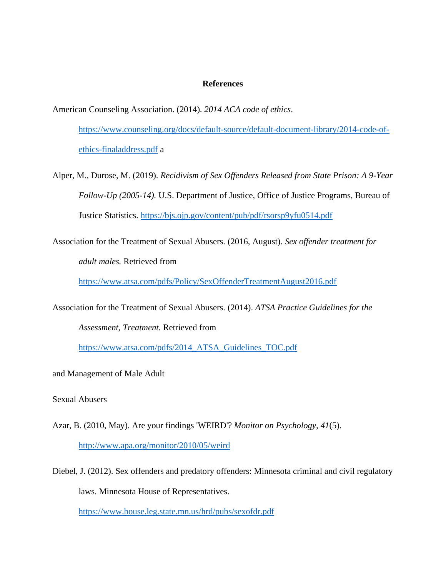#### **References**

American Counseling Association. (2014). *2014 ACA code of ethics*. [https://www.counseling.org/docs/default-source/default-document-library/2014-code-of](https://www.counseling.org/docs/default-source/default-document-library/2014-code-of-ethics-finaladdress.pdf)[ethics-finaladdress.pdf](https://www.counseling.org/docs/default-source/default-document-library/2014-code-of-ethics-finaladdress.pdf) a

- Alper, M., Durose, M. (2019). *Recidivism of Sex Offenders Released from State Prison: A 9-Year Follow-Up (2005-14).* U.S. Department of Justice, Office of Justice Programs, Bureau of Justice Statistics.<https://bjs.ojp.gov/content/pub/pdf/rsorsp9yfu0514.pdf>
- Association for the Treatment of Sexual Abusers. (2016, August). *Sex offender treatment for adult males.* Retrieved from

<https://www.atsa.com/pdfs/Policy/SexOffenderTreatmentAugust2016.pdf>

Association for the Treatment of Sexual Abusers. (2014). *ATSA Practice Guidelines for the* 

*Assessment, Treatment.* Retrieved from

[https://www.atsa.com/pdfs/2014\\_ATSA\\_Guidelines\\_TOC.pdf](https://www.atsa.com/pdfs/2014_ATSA_Guidelines_TOC.pdf)

and Management of Male Adult

Sexual Abusers

- Azar, B. (2010, May). Are your findings 'WEIRD'? *Monitor on Psychology*, *41*(5). <http://www.apa.org/monitor/2010/05/weird>
- Diebel, J. (2012). Sex offenders and predatory offenders: Minnesota criminal and civil regulatory laws. Minnesota House of Representatives. <https://www.house.leg.state.mn.us/hrd/pubs/sexofdr.pdf>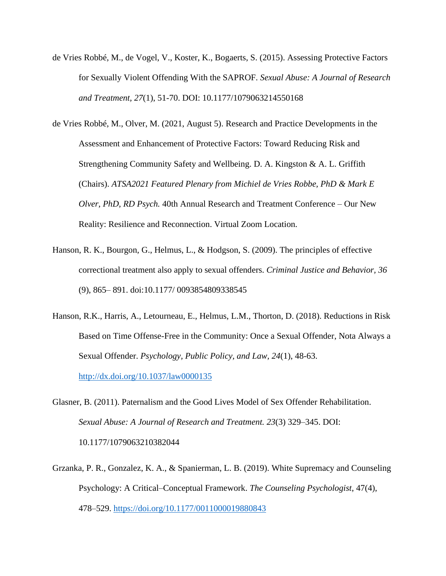- de Vries Robbé, M., de Vogel, V., Koster, K., Bogaerts, S. (2015). Assessing Protective Factors for Sexually Violent Offending With the SAPROF. *Sexual Abuse: A Journal of Research and Treatment, 27*(1), 51-70. DOI: 10.1177/1079063214550168
- de Vries Robbé, M., Olver, M. (2021, August 5). Research and Practice Developments in the Assessment and Enhancement of Protective Factors: Toward Reducing Risk and Strengthening Community Safety and Wellbeing. D. A. Kingston & A. L. Griffith (Chairs). *ATSA2021 Featured Plenary from Michiel de Vries Robbe, PhD & Mark E Olver, PhD, RD Psych.* 40th Annual Research and Treatment Conference – Our New Reality: Resilience and Reconnection. Virtual Zoom Location.
- Hanson, R. K., Bourgon, G., Helmus, L., & Hodgson, S. (2009). The principles of effective correctional treatment also apply to sexual offenders. *Criminal Justice and Behavior, 36*  (9), 865– 891. doi:10.1177/ 0093854809338545
- Hanson, R.K., Harris, A., Letourneau, E., Helmus, L.M., Thorton, D. (2018). Reductions in Risk Based on Time Offense-Free in the Community: Once a Sexual Offender, Nota Always a Sexual Offender. *Psychology, Public Policy, and Law, 24*(1), 48-63. <http://dx.doi.org/10.1037/law0000135>
- Glasner, B. (2011). Paternalism and the Good Lives Model of Sex Offender Rehabilitation. *Sexual Abuse: A Journal of Research and Treatment. 23*(3) 329–345. DOI: 10.1177/1079063210382044
- Grzanka, P. R., Gonzalez, K. A., & Spanierman, L. B. (2019). White Supremacy and Counseling Psychology: A Critical–Conceptual Framework. *The Counseling Psychologist*, 47(4), 478–529.<https://doi.org/10.1177/0011000019880843>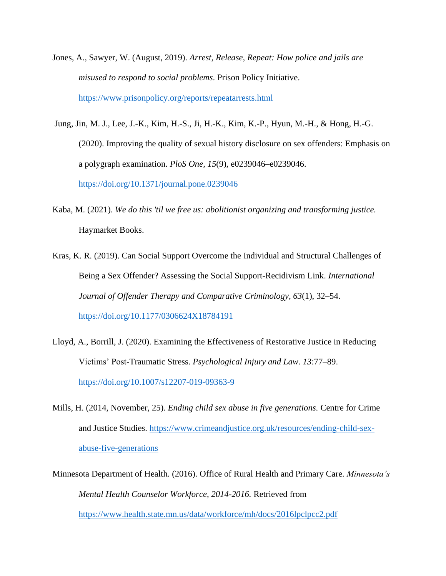- Jones, A., Sawyer, W. (August, 2019). *Arrest, Release, Repeat: How police and jails are misused to respond to social problems*. Prison Policy Initiative. <https://www.prisonpolicy.org/reports/repeatarrests.html>
- Jung, Jin, M. J., Lee, J.-K., Kim, H.-S., Ji, H.-K., Kim, K.-P., Hyun, M.-H., & Hong, H.-G. (2020). Improving the quality of sexual history disclosure on sex offenders: Emphasis on a polygraph examination. *PloS One, 15*(9), e0239046–e0239046. <https://doi.org/10.1371/journal.pone.0239046>
- Kaba, M. (2021). *We do this 'til we free us: abolitionist organizing and transforming justice.*  Haymarket Books.
- Kras, K. R. (2019). Can Social Support Overcome the Individual and Structural Challenges of Being a Sex Offender? Assessing the Social Support-Recidivism Link. *International Journal of Offender Therapy and Comparative Criminology, 63*(1), 32–54. <https://doi.org/10.1177/0306624X18784191>
- Lloyd, A., Borrill, J. (2020). Examining the Effectiveness of Restorative Justice in Reducing Victims' Post-Traumatic Stress. *Psychological Injury and Law. 13*:77–89. <https://doi.org/10.1007/s12207-019-09363-9>
- Mills, H. (2014, November, 25). *Ending child sex abuse in five generations.* Centre for Crime and Justice Studies. [https://www.crimeandjustice.org.uk/resources/ending-child-sex](https://www.crimeandjustice.org.uk/resources/ending-child-sex-abuse-five-generations)[abuse-five-generations](https://www.crimeandjustice.org.uk/resources/ending-child-sex-abuse-five-generations)
- Minnesota Department of Health. (2016). Office of Rural Health and Primary Care. *Minnesota's Mental Health Counselor Workforce, 2014-2016.* Retrieved from <https://www.health.state.mn.us/data/workforce/mh/docs/2016lpclpcc2.pdf>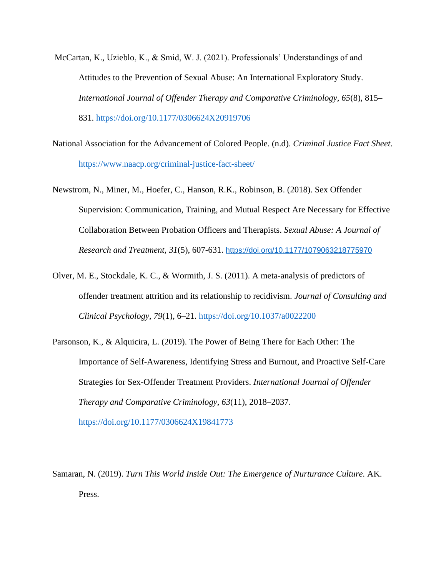- McCartan, K., Uzieblo, K., & Smid, W. J. (2021). Professionals' Understandings of and Attitudes to the Prevention of Sexual Abuse: An International Exploratory Study. *International Journal of Offender Therapy and Comparative Criminology, 65*(8), 815– 831.<https://doi.org/10.1177/0306624X20919706>
- National Association for the Advancement of Colored People. (n.d). *Criminal Justice Fact Sheet*. <https://www.naacp.org/criminal-justice-fact-sheet/>
- Newstrom, N., Miner, M., Hoefer, C., Hanson, R.K., Robinson, B. (2018). Sex Offender Supervision: Communication, Training, and Mutual Respect Are Necessary for Effective Collaboration Between Probation Officers and Therapists. *Sexual Abuse: A Journal of Research and Treatment, 31*(5), 607-631. [https://doi.org/10.1177/1079063218775970](https://doi.org/10.1177%2F1079063218775970)
- Olver, M. E., Stockdale, K. C., & Wormith, J. S. (2011). A meta-analysis of predictors of offender treatment attrition and its relationship to recidivism. *Journal of Consulting and Clinical Psychology, 79*(1), 6–21.<https://doi.org/10.1037/a0022200>
- Parsonson, K., & Alquicira, L. (2019). The Power of Being There for Each Other: The Importance of Self-Awareness, Identifying Stress and Burnout, and Proactive Self-Care Strategies for Sex-Offender Treatment Providers. *International Journal of Offender Therapy and Comparative Criminology, 63*(11), 2018–2037. <https://doi.org/10.1177/0306624X19841773>

Samaran, N. (2019). *Turn This World Inside Out: The Emergence of Nurturance Culture.* AK. Press.